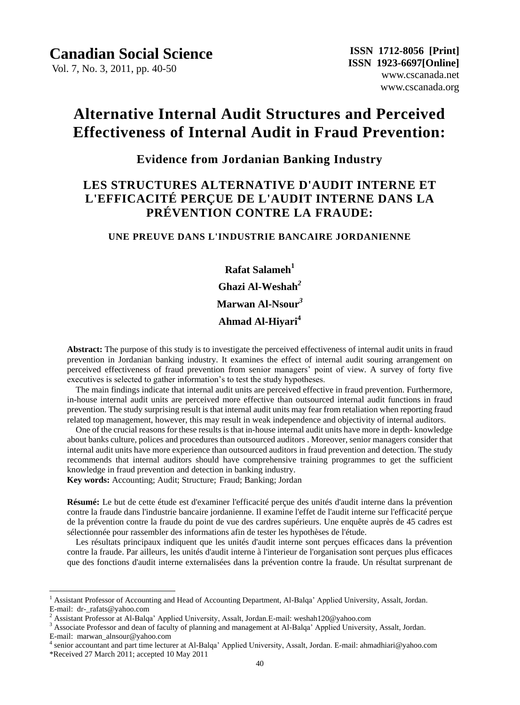Vol. 7, No. 3, 2011, pp. 40-50

# **Alternative Internal Audit Structures and Perceived Effectiveness of Internal Audit in Fraud Prevention:**

## **Evidence from Jordanian Banking Industry**

## **LES STRUCTURES ALTERNATIVE D'AUDIT INTERNE ET L'EFFICACITÉ PERÇUE DE L'AUDIT INTERNE DANS LA PRÉVENTION CONTRE LA FRAUDE:**

### **UNE PREUVE DANS L'INDUSTRIE BANCAIRE JORDANIENNE**

**Rafat Salameh<sup>1</sup> Ghazi Al-Weshah***<sup>2</sup>* **Marwan Al-Nsour***<sup>3</sup>* **Ahmad Al-Hiyari<sup>4</sup>**

**Abstract:** The purpose of this study is to investigate the perceived effectiveness of internal audit units in fraud prevention in Jordanian banking industry. It examines the effect of internal audit souring arrangement on perceived effectiveness of fraud prevention from senior managers' point of view. A survey of forty five executives is selected to gather information's to test the study hypotheses.

The main findings indicate that internal audit units are perceived effective in fraud prevention. Furthermore, in-house internal audit units are perceived more effective than outsourced internal audit functions in fraud prevention. The study surprising result is that internal audit units may fear from retaliation when reporting fraud related top management, however, this may result in weak independence and objectivity of internal auditors.

One of the crucial reasons for these results is that in-house internal audit units have more in depth- knowledge about banks culture, polices and procedures than outsourced auditors . Moreover, senior managers consider that internal audit units have more experience than outsourced auditors in fraud prevention and detection. The study recommends that internal auditors should have comprehensive training programmes to get the sufficient knowledge in fraud prevention and detection in banking industry.

**Key words:** Accounting; Audit; Structure; Fraud; Banking; Jordan

 $\overline{a}$ 

**Résumé:** Le but de cette étude est d'examiner l'efficacité perçue des unités d'audit interne dans la prévention contre la fraude dans l'industrie bancaire jordanienne. Il examine l'effet de l'audit interne sur l'efficacité per que de la prévention contre la fraude du point de vue des cardres supérieurs. Une enquête auprès de 45 cadres est s électionn ée pour rassembler des informations afin de tester les hypothèses de l'étude.

Les résultats principaux indiquent que les unités d'audit interne sont per ques efficaces dans la prévention contre la fraude. Par ailleurs, les unités d'audit interne à l'interieur de l'organisation sont perçues plus efficaces que des fonctions d'audit interne externalisées dans la prévention contre la fraude. Un résultat surprenant de

<sup>1</sup> Assistant Professor of Accounting and Head of Accounting Department, Al-Balqa' Applied University, Assalt, Jordan. E-mail: dr-\_rafats@yahoo.com

<sup>2</sup> Assistant Professor at Al-Balqa' Applied University, Assalt, Jordan.E-mail: weshah120@yahoo.com

<sup>&</sup>lt;sup>3</sup> Associate Professor and dean of faculty of planning and management at Al-Balqa' Applied University, Assalt, Jordan. E-mail: marwan\_alnsour@yahoo.com

<sup>4</sup> senior accountant and part time lecturer at Al-Balqa' Applied University, Assalt, Jordan. E-mail: ahmadhiari@yahoo.com \*Received 27 March 2011; accepted 10 May 2011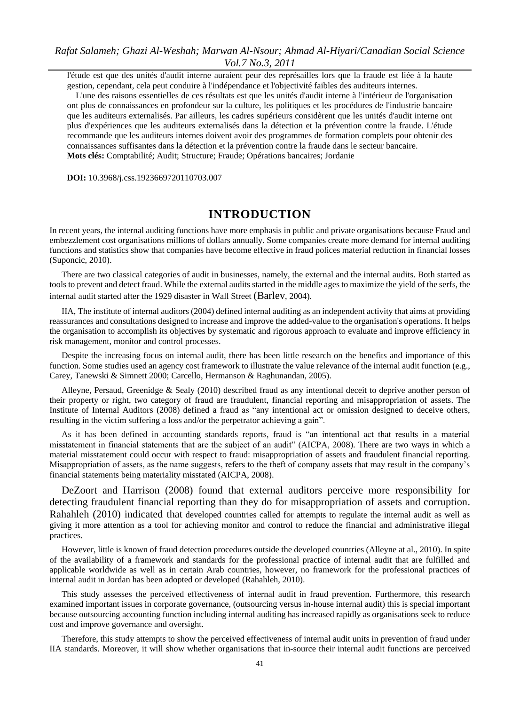l'étude est que des unités d'audit interne auraient peur des représailles lors que la fraude est liée à la haute gestion, cependant, cela peut conduire à l'indépendance et l'objectivité faibles des auditeurs internes.

L'une des raisons essentielles de ces résultats est que les unités d'audit interne à l'intérieur de l'organisation ont plus de connaissances en profondeur sur la culture, les politiques et les procédures de l'industrie bancaire que les auditeurs externalisés. Par ailleurs, les cadres supérieurs considèrent que les unités d'audit interne ont plus d'expériences que les auditeurs externalisés dans la détection et la prévention contre la fraude. L'étude recommande que les auditeurs internes doivent avoir des programmes de formation complets pour obtenir des connaissances suffisantes dans la détection et la prévention contre la fraude dans le secteur bancaire. **Mots clés:** Comptabilité; Audit; Structure; Fraude; Opérations bancaires; Jordanie

**DOI:** 10.3968/j.css.1923669720110703.007

## **INTRODUCTION**

In recent years, the internal auditing functions have more emphasis in public and private organisations because Fraud and embezzlement cost organisations millions of dollars annually. Some companies create more demand for internal auditing functions and statistics show that companies have become effective in fraud polices material reduction in financial losses (Suponcic, 2010).

There are two classical categories of audit in businesses, namely, the external and the internal audits. Both started as tools to prevent and detect fraud. While the external audits started in the middle ages to maximize the yield of the serfs, the internal audit started after the 1929 disaster in Wall Street (Barlev, 2004).

IIA, The institute of internal auditors (2004) defined internal auditing as an independent activity that aims at providing reassurances and consultations designed to increase and improve the added-value to the organisation's operations. It helps the organisation to accomplish its objectives by systematic and rigorous approach to evaluate and improve efficiency in risk management, monitor and control processes.

Despite the increasing focus on internal audit, there has been little research on the benefits and importance of this function. Some studies used an agency cost framework to illustrate the value relevance of the internal audit function (e.g., Carey, Tanewski & Simnett 2000; Carcello, Hermanson & Raghunandan, 2005).

Alleyne, Persaud, Greenidge & Sealy (2010) described fraud as any intentional deceit to deprive another person of their property or right, two category of fraud are fraudulent, financial reporting and misappropriation of assets. The Institute of Internal Auditors (2008) defined a fraud as "any intentional act or omission designed to deceive others, resulting in the victim suffering a loss and/or the perpetrator achieving a gain".

As it has been defined in accounting standards reports, fraud is "an intentional act that results in a material misstatement in financial statements that are the subject of an audit" (AICPA, 2008). There are two ways in which a material misstatement could occur with respect to fraud: misappropriation of assets and fraudulent financial reporting. Misappropriation of assets, as the name suggests, refers to the theft of company assets that may result in the company's financial statements being materiality misstated (AICPA, 2008).

DeZoort and Harrison (2008) found that external auditors perceive more responsibility for detecting fraudulent financial reporting than they do for misappropriation of assets and corruption. Rahahleh (2010) indicated that developed countries called for attempts to regulate the internal audit as well as giving it more attention as a tool for achieving monitor and control to reduce the financial and administrative illegal practices.

However, little is known of fraud detection procedures outside the developed countries (Alleyne at al., 2010). In spite of the availability of a framework and standards for the professional practice of internal audit that are fulfilled and applicable worldwide as well as in certain Arab countries, however, no framework for the professional practices of internal audit in Jordan has been adopted or developed (Rahahleh, 2010).

This study assesses the perceived effectiveness of internal audit in fraud prevention. Furthermore, this research examined important issues in corporate governance, (outsourcing versus in-house internal audit) this is special important because outsourcing accounting function including internal auditing has increased rapidly as organisations seek to reduce cost and improve governance and oversight.

Therefore, this study attempts to show the perceived effectiveness of internal audit units in prevention of fraud under IIA standards. Moreover, it will show whether organisations that in-source their internal audit functions are perceived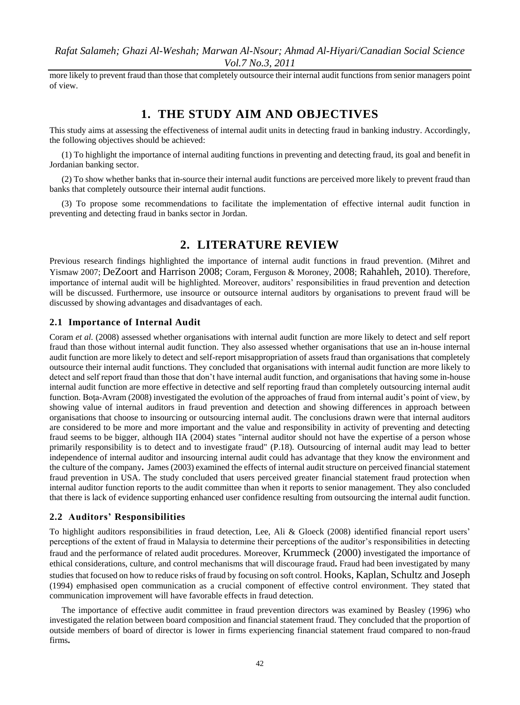more likely to prevent fraud than those that completely outsource their internal audit functions from senior managers point of view.

## **1. THE STUDY AIM AND OBJECTIVES**

This study aims at assessing the effectiveness of internal audit units in detecting fraud in banking industry. Accordingly, the following objectives should be achieved:

(1) To highlight the importance of internal auditing functions in preventing and detecting fraud, its goal and benefit in Jordanian banking sector.

(2) To show whether banks that in-source their internal audit functions are perceived more likely to prevent fraud than banks that completely outsource their internal audit functions.

(3) To propose some recommendations to facilitate the implementation of effective internal audit function in preventing and detecting fraud in banks sector in Jordan.

## **2. LITERATURE REVIEW**

Previous research findings highlighted the importance of internal audit functions in fraud prevention. (Mihret and Yismaw 2007; DeZoort and Harrison 2008; Coram, Ferguson & Moroney, 2008; Rahahleh, 2010). Therefore, importance of internal audit will be highlighted. Moreover, auditors' responsibilities in fraud prevention and detection will be discussed. Furthermore, use insource or outsource internal auditors by organisations to prevent fraud will be discussed by showing advantages and disadvantages of each.

#### **2.1 Importance of Internal Audit**

Coram *et al.* (2008) assessed whether organisations with internal audit function are more likely to detect and self report fraud than those without internal audit function. They also assessed whether organisations that use an in-house internal audit function are more likely to detect and self-report misappropriation of assets fraud than organisations that completely outsource their internal audit functions. They concluded that organisations with internal audit function are more likely to detect and self report fraud than those that don't have internal audit function, and organisations that having some in-house internal audit function are more effective in detective and self reporting fraud than completely outsourcing internal audit function. Bota-Avram (2008) investigated the evolution of the approaches of fraud from internal audit's point of view, by showing value of internal auditors in fraud prevention and detection and showing differences in approach between organisations that choose to insourcing or outsourcing internal audit. The conclusions drawn were that internal auditors are considered to be more and more important and the value and responsibility in activity of preventing and detecting fraud seems to be bigger, although IIA (2004) states "internal auditor should not have the expertise of a person whose primarily responsibility is to detect and to investigate fraud" (P.18). Outsourcing of internal audit may lead to better independence of internal auditor and insourcing internal audit could has advantage that they know the environment and the culture of the company**.** James (2003) examined the effects of internal audit structure on perceived financial statement fraud prevention in USA. The study concluded that users perceived greater financial statement fraud protection when internal auditor function reports to the audit committee than when it reports to senior management. They also concluded that there is lack of evidence supporting enhanced user confidence resulting from outsourcing the internal audit function.

#### **2.2 Auditors' Responsibilities**

To highlight auditors responsibilities in fraud detection, Lee, Ali & Gloeck (2008) identified financial report users' perceptions of the extent of fraud in Malaysia to determine their perceptions of the auditor's responsibilities in detecting fraud and the performance of related audit procedures. Moreover, Krummeck (2000) investigated the importance of ethical considerations, culture, and control mechanisms that will discourage fraud**.** Fraud had been investigated by many studies that focused on how to reduce risks of fraud by focusing on soft control. Hooks, Kaplan, Schultz and Joseph (1994) emphasised open communication as a crucial component of effective control environment. They stated that communication improvement will have favorable effects in fraud detection.

The importance of effective audit committee in fraud prevention directors was examined by Beasley (1996) who investigated the relation between board composition and financial statement fraud. They concluded that the proportion of outside members of board of director is lower in firms experiencing financial statement fraud compared to non-fraud firms**.**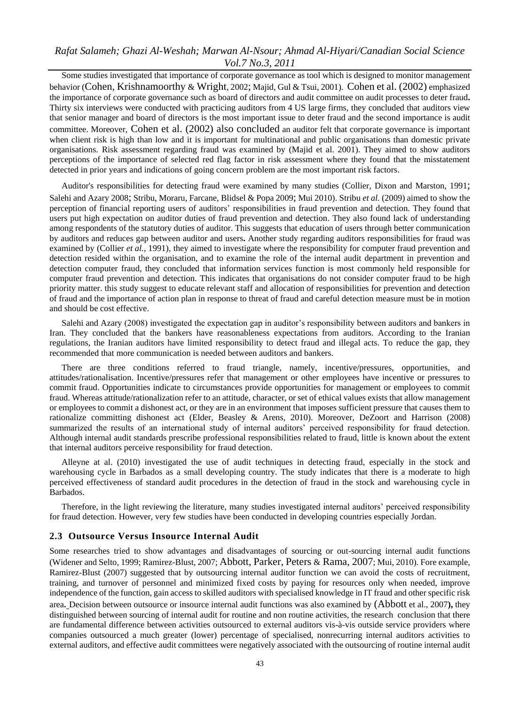Some studies investigated that importance of corporate governance as tool which is designed to monitor management behavior (Cohen, Krishnamoorthy & Wright, 2002; Majid, Gul & Tsui, 2001). Cohen et al. (2002) emphasized the importance of corporate governance such as board of directors and audit committee on audit processes to deter fraud**.** Thirty six interviews were conducted with practicing auditors from 4 US large firms, they concluded that auditors view that senior manager and board of directors is the most important issue to deter fraud and the second importance is audit committee. Moreover, Cohen et al. (2002) also concluded an auditor felt that corporate governance is important when client risk is high than low and it is important for multinational and public organisations than domestic private organisations. Risk assessment regarding fraud was examined by (Majid et al. 2001). They aimed to show auditors perceptions of the importance of selected red flag factor in risk assessment where they found that the misstatement detected in prior years and indications of going concern problem are the most important risk factors.

Auditor's responsibilities for detecting fraud were examined by many studies (Collier, Dixon and Marston, 1991; Salehi and Azary 2008; Stribu, Moraru, Farcane, Blidsel & Popa 2009; Mui 2010). Stribu *et al.* (2009) aimed to show the perception of financial reporting users of auditors' responsibilities in fraud prevention and detection. They found that users put high expectation on auditor duties of fraud prevention and detection. They also found lack of understanding among respondents of the statutory duties of auditor. This suggests that education of users through better communication by auditors and reduces gap between auditor and users**.** Another study regarding auditors responsibilities for fraud was examined by (Collier *et al.*, 1991), they aimed to investigate where the responsibility for computer fraud prevention and detection resided within the organisation, and to examine the role of the internal audit department in prevention and detection computer fraud, they concluded that information services function is most commonly held responsible for computer fraud prevention and detection. This indicates that organisations do not consider computer fraud to be high priority matter. this study suggest to educate relevant staff and allocation of responsibilities for prevention and detection of fraud and the importance of action plan in response to threat of fraud and careful detection measure must be in motion and should be cost effective.

Salehi and Azary (2008) investigated the expectation gap in auditor's responsibility between auditors and bankers in Iran. They concluded that the bankers have reasonableness expectations from auditors. According to the Iranian regulations, the Iranian auditors have limited responsibility to detect fraud and illegal acts. To reduce the gap, they recommended that more communication is needed between auditors and bankers.

There are three conditions referred to fraud triangle, namely, incentive/pressures, opportunities, and attitudes/rationalisation. Incentive/pressures refer that management or other employees have incentive or pressures to commit fraud. Opportunities indicate to circumstances provide opportunities for management or employees to commit fraud. Whereas attitude/rationalization refer to an attitude, character, or set of ethical values exists that allow management or employees to commit a dishonest act, or they are in an environment that imposes sufficient pressure that causes them to rationalize committing dishonest act (Elder, Beasley & Arens, 2010). Moreover, DeZoort and Harrison (2008) summarized the results of an international study of internal auditors' perceived responsibility for fraud detection. Although internal audit standards prescribe professional responsibilities related to fraud, little is known about the extent that internal auditors perceive responsibility for fraud detection.

Alleyne at al. (2010) investigated the use of audit techniques in detecting fraud, especially in the stock and warehousing cycle in Barbados as a small developing country. The study indicates that there is a moderate to high perceived effectiveness of standard audit procedures in the detection of fraud in the stock and warehousing cycle in Barbados.

Therefore, in the light reviewing the literature, many studies investigated internal auditors' perceived responsibility for fraud detection. However, very few studies have been conducted in developing countries especially Jordan.

#### **2.3 Outsource Versus Insource Internal Audit**

Some researches tried to show advantages and disadvantages of sourcing or out-sourcing internal audit functions (Widener and Selto, 1999; Ramirez-Blust, 2007; Abbott, Parker, Peters & Rama, 2007; Mui, 2010). Fore example, Ramirez-Blust (2007) suggested that by outsourcing internal auditor function we can avoid the costs of recruitment, training, and turnover of personnel and minimized fixed costs by paying for resources only when needed, improve independence of the function, gain access to skilled auditors with specialised knowledge in IT fraud and other specific risk area**.** Decision between outsource or insource internal audit functions was also examined by (Abbott et al., 2007**),** they distinguished between sourcing of internal audit for routine and non routine activities, the research conclusion that there are fundamental difference between activities outsourced to external auditors vis-à-vis outside service providers where companies outsourced a much greater (lower) percentage of specialised, nonrecurring internal auditors activities to external auditors, and effective audit committees were negatively associated with the outsourcing of routine internal audit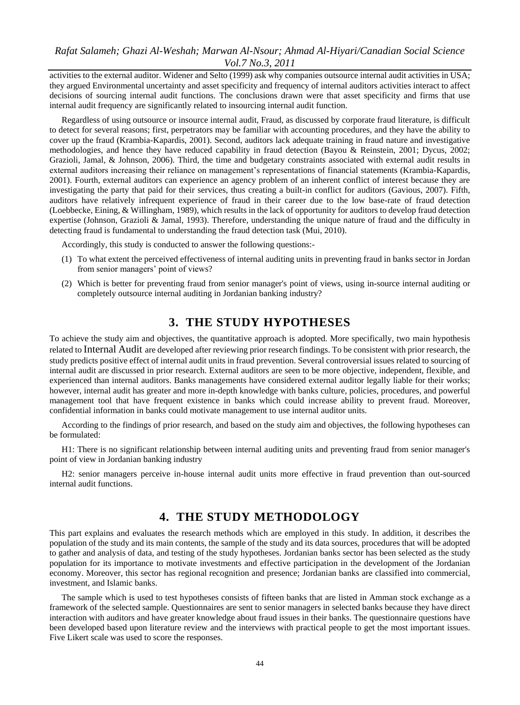activities to the external auditor. Widener and Selto (1999) ask why companies outsource internal audit activities in USA; they argued Environmental uncertainty and asset specificity and frequency of internal auditors activities interact to affect decisions of sourcing internal audit functions. The conclusions drawn were that asset specificity and firms that use internal audit frequency are significantly related to insourcing internal audit function.

Regardless of using outsource or insource internal audit, Fraud, as discussed by corporate fraud literature, is difficult to detect for several reasons; first, perpetrators may be familiar with accounting procedures, and they have the ability to cover up the fraud (Krambia-Kapardis, 2001). Second, auditors lack adequate training in fraud nature and investigative methodologies, and hence they have reduced capability in fraud detection (Bayou & Reinstein, 2001; Dycus, 2002; Grazioli, Jamal, & Johnson, 2006). Third, the time and budgetary constraints associated with external audit results in external auditors increasing their reliance on management's representations of financial statements (Krambia-Kapardis, 2001). Fourth, external auditors can experience an agency problem of an inherent conflict of interest because they are investigating the party that paid for their services, thus creating a built-in conflict for auditors (Gavious, 2007). Fifth, auditors have relatively infrequent experience of fraud in their career due to the low base-rate of fraud detection (Loebbecke, Eining, & Willingham, 1989), which results in the lack of opportunity for auditors to develop fraud detection expertise (Johnson, Grazioli & Jamal, 1993). Therefore, understanding the unique nature of fraud and the difficulty in detecting fraud is fundamental to understanding the fraud detection task (Mui, 2010).

Accordingly, this study is conducted to answer the following questions:-

- (1) To what extent the perceived effectiveness of internal auditing units in preventing fraud in banks sector in Jordan from senior managers' point of views?
- (2) Which is better for preventing fraud from senior manager's point of views, using in-source internal auditing or completely outsource internal auditing in Jordanian banking industry?

## **3. THE STUDY HYPOTHESES**

To achieve the study aim and objectives, the quantitative approach is adopted. More specifically, two main hypothesis related to Internal Audit are developed after reviewing prior research findings. To be consistent with prior research, the study predicts positive effect of internal audit units in fraud prevention. Several controversial issues related to sourcing of internal audit are discussed in prior research. External auditors are seen to be more objective, independent, flexible, and experienced than internal auditors. Banks managements have considered external auditor legally liable for their works; however, internal audit has greater and more in-depth knowledge with banks culture, policies, procedures, and powerful management tool that have frequent existence in banks which could increase ability to prevent fraud. Moreover, confidential information in banks could motivate management to use internal auditor units.

According to the findings of prior research, and based on the study aim and objectives, the following hypotheses can be formulated:

H1: There is no significant relationship between internal auditing units and preventing fraud from senior manager's point of view in Jordanian banking industry

H2: senior managers perceive in-house internal audit units more effective in fraud prevention than out-sourced internal audit functions.

### **4. THE STUDY METHODOLOGY**

This part explains and evaluates the research methods which are employed in this study. In addition, it describes the population of the study and its main contents, the sample of the study and its data sources, procedures that will be adopted to gather and analysis of data, and testing of the study hypotheses. Jordanian banks sector has been selected as the study population for its importance to motivate investments and effective participation in the development of the Jordanian economy. Moreover, this sector has regional recognition and presence; Jordanian banks are classified into commercial, investment, and Islamic banks.

The sample which is used to test hypotheses consists of fifteen banks that are listed in Amman stock exchange as a framework of the selected sample. Questionnaires are sent to senior managers in selected banks because they have direct interaction with auditors and have greater knowledge about fraud issues in their banks. The questionnaire questions have been developed based upon literature review and the interviews with practical people to get the most important issues. Five Likert scale was used to score the responses.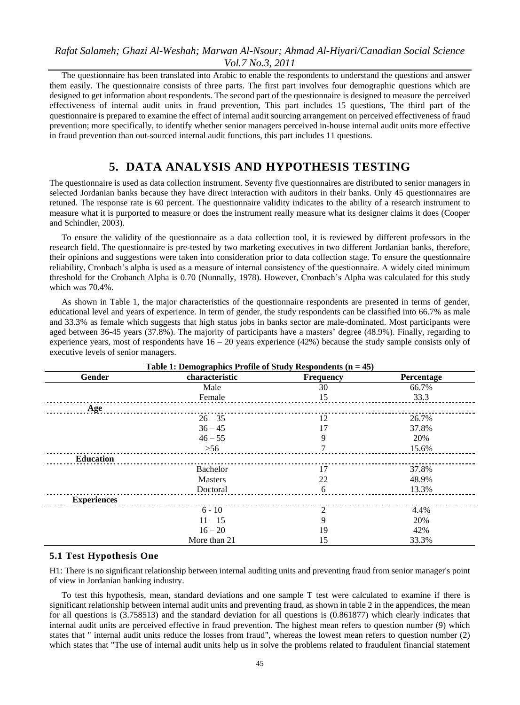The questionnaire has been translated into Arabic to enable the respondents to understand the questions and answer them easily. The questionnaire consists of three parts. The first part involves four demographic questions which are designed to get information about respondents. The second part of the questionnaire is designed to measure the perceived effectiveness of internal audit units in fraud prevention, This part includes 15 questions, The third part of the questionnaire is prepared to examine the effect of internal audit sourcing arrangement on perceived effectiveness of fraud prevention; more specifically, to identify whether senior managers perceived in-house internal audit units more effective in fraud prevention than out-sourced internal audit functions, this part includes 11 questions.

## **5. DATA ANALYSIS AND HYPOTHESIS TESTING**

The questionnaire is used as data collection instrument. Seventy five questionnaires are distributed to senior managers in selected Jordanian banks because they have direct interaction with auditors in their banks. Only 45 questionnaires are retuned. The response rate is 60 percent. The questionnaire validity indicates to the ability of a research instrument to measure what it is purported to measure or does the instrument really measure what its designer claims it does (Cooper and Schindler, 2003).

To ensure the validity of the questionnaire as a data collection tool, it is reviewed by different professors in the research field. The questionnaire is pre-tested by two marketing executives in two different Jordanian banks, therefore, their opinions and suggestions were taken into consideration prior to data collection stage. To ensure the questionnaire reliability, Cronbach's alpha is used as a measure of internal consistency of the questionnaire. A widely cited minimum threshold for the Crobanch Alpha is 0.70 (Nunnally, 1978). However, Cronbach's Alpha was calculated for this study which was 70.4%.

As shown in Table 1, the major characteristics of the questionnaire respondents are presented in terms of gender, educational level and years of experience. In term of gender, the study respondents can be classified into 66.7% as male and 33.3% as female which suggests that high status jobs in banks sector are male-dominated. Most participants were aged between 36-45 years (37.8%). The majority of participants have a masters' degree (48.9%). Finally, regarding to experience years, most of respondents have  $16 - 20$  years experience (42%) because the study sample consists only of executive levels of senior managers.

| Table 1: Demographics Profile of Study Respondents $(n = 45)$ |                |                  |            |  |  |
|---------------------------------------------------------------|----------------|------------------|------------|--|--|
| Gender                                                        | characteristic | <b>Frequency</b> | Percentage |  |  |
|                                                               | Male           | 30               | 66.7%      |  |  |
|                                                               | Female         | 15               | 33.3       |  |  |
| Age                                                           |                |                  |            |  |  |
|                                                               | $26 - 35$      | 12               | 26.7%      |  |  |
|                                                               | $36 - 45$      | 17               | 37.8%      |  |  |
|                                                               | $46 - 55$      | 9                | 20%        |  |  |
|                                                               | $>56$          | 7                | 15.6%      |  |  |
| <b>Education</b>                                              |                |                  |            |  |  |
|                                                               | Bachelor       | 17               | 37.8%      |  |  |
|                                                               | <b>Masters</b> | 22               | 48.9%      |  |  |
|                                                               | Doctoral       | 6                | 13.3%      |  |  |
| <b>Experiences</b>                                            |                |                  |            |  |  |
|                                                               | $6 - 10$       | $\overline{c}$   | 4.4%       |  |  |
|                                                               | $11 - 15$      | 9                | 20%        |  |  |
|                                                               | $16 - 20$      | 19               | 42%        |  |  |
|                                                               | More than 21   | 15               | 33.3%      |  |  |

#### **5.1 Test Hypothesis One**

H1: There is no significant relationship between internal auditing units and preventing fraud from senior manager's point of view in Jordanian banking industry.

To test this hypothesis, mean, standard deviations and one sample T test were calculated to examine if there is significant relationship between internal audit units and preventing fraud, as shown in table 2 in the appendices, the mean for all questions is (3.758513) and the standard deviation for all questions is (0.861877) which clearly indicates that internal audit units are perceived effective in fraud prevention. The highest mean refers to question number (9) which states that " internal audit units reduce the losses from fraud", whereas the lowest mean refers to question number (2) which states that "The use of internal audit units help us in solve the problems related to fraudulent financial statement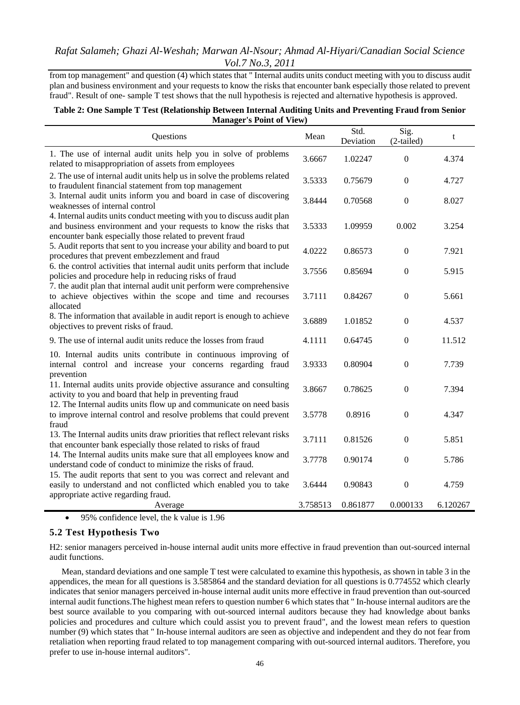from top management" and question (4) which states that " Internal audits units conduct meeting with you to discuss audit plan and business environment and your requests to know the risks that encounter bank especially those related to prevent fraud". Result of one- sample T test shows that the null hypothesis is rejected and alternative hypothesis is approved.

#### **Table 2: One Sample T Test (Relationship Between Internal Auditing Units and Preventing Fraud from Senior Manager's Point of View)**

| Questions                                                                                                                                                                                                |          | Std.<br>Deviation | Sig.<br>$(2-tailed)$ | t        |
|----------------------------------------------------------------------------------------------------------------------------------------------------------------------------------------------------------|----------|-------------------|----------------------|----------|
| 1. The use of internal audit units help you in solve of problems<br>related to misappropriation of assets from employees                                                                                 | 3.6667   | 1.02247           | $\theta$             | 4.374    |
| 2. The use of internal audit units help us in solve the problems related<br>to fraudulent financial statement from top management                                                                        | 3.5333   | 0.75679           | $\boldsymbol{0}$     | 4.727    |
| 3. Internal audit units inform you and board in case of discovering<br>weaknesses of internal control                                                                                                    | 3.8444   | 0.70568           | $\boldsymbol{0}$     | 8.027    |
| 4. Internal audits units conduct meeting with you to discuss audit plan<br>and business environment and your requests to know the risks that<br>encounter bank especially those related to prevent fraud | 3.5333   | 1.09959           | 0.002                | 3.254    |
| 5. Audit reports that sent to you increase your ability and board to put<br>procedures that prevent embezzlement and fraud                                                                               | 4.0222   | 0.86573           | $\Omega$             | 7.921    |
| 6. the control activities that internal audit units perform that include<br>policies and procedure help in reducing risks of fraud                                                                       | 3.7556   | 0.85694           | $\boldsymbol{0}$     | 5.915    |
| 7. the audit plan that internal audit unit perform were comprehensive<br>to achieve objectives within the scope and time and recourses<br>allocated                                                      | 3.7111   | 0.84267           | $\Omega$             | 5.661    |
| 8. The information that available in audit report is enough to achieve<br>objectives to prevent risks of fraud.                                                                                          | 3.6889   | 1.01852           | $\boldsymbol{0}$     | 4.537    |
| 9. The use of internal audit units reduce the losses from fraud                                                                                                                                          | 4.1111   | 0.64745           | $\boldsymbol{0}$     | 11.512   |
| 10. Internal audits units contribute in continuous improving of<br>internal control and increase your concerns regarding fraud<br>prevention                                                             | 3.9333   | 0.80904           | $\Omega$             | 7.739    |
| 11. Internal audits units provide objective assurance and consulting<br>activity to you and board that help in preventing fraud                                                                          | 3.8667   | 0.78625           | $\boldsymbol{0}$     | 7.394    |
| 12. The Internal audits units flow up and communicate on need basis<br>to improve internal control and resolve problems that could prevent<br>fraud                                                      | 3.5778   | 0.8916            | $\boldsymbol{0}$     | 4.347    |
| 13. The Internal audits units draw priorities that reflect relevant risks<br>that encounter bank especially those related to risks of fraud                                                              | 3.7111   | 0.81526           | $\Omega$             | 5.851    |
| 14. The Internal audits units make sure that all employees know and<br>understand code of conduct to minimize the risks of fraud.                                                                        | 3.7778   | 0.90174           | $\overline{0}$       | 5.786    |
| 15. The audit reports that sent to you was correct and relevant and<br>easily to understand and not conflicted which enabled you to take<br>appropriate active regarding fraud.                          | 3.6444   | 0.90843           | $\boldsymbol{0}$     | 4.759    |
| Average                                                                                                                                                                                                  | 3.758513 | 0.861877          | 0.000133             | 6.120267 |

95% confidence level, the k value is 1.96

#### **5.2 Test Hypothesis Two**

H2: senior managers perceived in-house internal audit units more effective in fraud prevention than out-sourced internal audit functions.

Mean, standard deviations and one sample T test were calculated to examine this hypothesis, as shown in table 3 in the appendices, the mean for all questions is 3.585864 and the standard deviation for all questions is 0.774552 which clearly indicates that senior managers perceived in-house internal audit units more effective in fraud prevention than out-sourced internal audit functions.The highest mean refers to question number 6 which states that " In-house internal auditors are the best source available to you comparing with out-sourced internal auditors because they had knowledge about banks policies and procedures and culture which could assist you to prevent fraud", and the lowest mean refers to question number (9) which states that " In-house internal auditors are seen as objective and independent and they do not fear from retaliation when reporting fraud related to top management comparing with out-sourced internal auditors. Therefore, you prefer to use in-house internal auditors".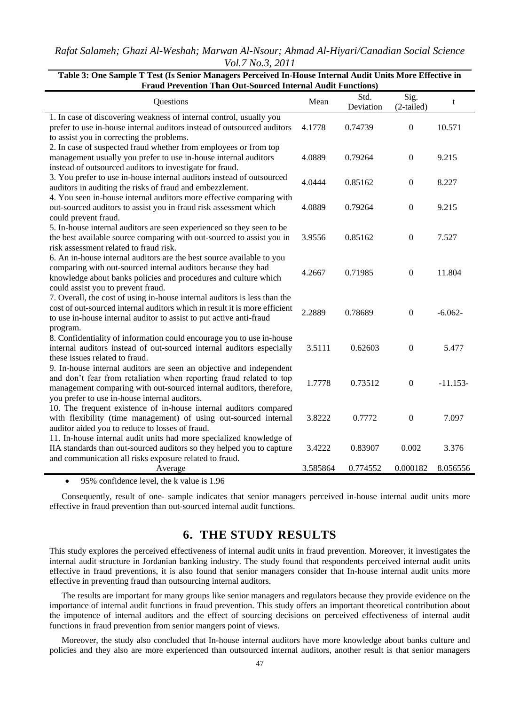*Rafat Salameh; Ghazi Al-Weshah; Marwan Al-Nsour; Ahmad Al-Hiyari/Canadian Social Science Vol.7 No.3, 2011*

| Questions                                                                  | Mean     | Std.<br>Deviation | Sig.<br>$(2-tailed)$ | t          |
|----------------------------------------------------------------------------|----------|-------------------|----------------------|------------|
| 1. In case of discovering weakness of internal control, usually you        |          |                   |                      |            |
| prefer to use in-house internal auditors instead of outsourced auditors    | 4.1778   | 0.74739           | $\overline{0}$       | 10.571     |
| to assist you in correcting the problems.                                  |          |                   |                      |            |
| 2. In case of suspected fraud whether from employees or from top           |          |                   |                      |            |
| management usually you prefer to use in-house internal auditors            | 4.0889   | 0.79264           | $\boldsymbol{0}$     | 9.215      |
| instead of outsourced auditors to investigate for fraud.                   |          |                   |                      |            |
| 3. You prefer to use in-house internal auditors instead of outsourced      |          |                   |                      |            |
| auditors in auditing the risks of fraud and embezzlement.                  | 4.0444   | 0.85162           | $\boldsymbol{0}$     | 8.227      |
| 4. You seen in-house internal auditors more effective comparing with       |          |                   |                      |            |
| out-sourced auditors to assist you in fraud risk assessment which          | 4.0889   | 0.79264           | $\boldsymbol{0}$     | 9.215      |
| could prevent fraud.                                                       |          |                   |                      |            |
| 5. In-house internal auditors are seen experienced so they seen to be      |          |                   |                      |            |
| the best available source comparing with out-sourced to assist you in      | 3.9556   | 0.85162           | $\overline{0}$       | 7.527      |
| risk assessment related to fraud risk.                                     |          |                   |                      |            |
| 6. An in-house internal auditors are the best source available to you      |          |                   |                      |            |
| comparing with out-sourced internal auditors because they had              | 4.2667   | 0.71985           | $\overline{0}$       | 11.804     |
| knowledge about banks policies and procedures and culture which            |          |                   |                      |            |
| could assist you to prevent fraud.                                         |          |                   |                      |            |
| 7. Overall, the cost of using in-house internal auditors is less than the  |          |                   |                      |            |
| cost of out-sourced internal auditors which in result it is more efficient | 2.2889   | 0.78689           | $\boldsymbol{0}$     | $-6.062-$  |
| to use in-house internal auditor to assist to put active anti-fraud        |          |                   |                      |            |
| program.                                                                   |          |                   |                      |            |
| 8. Confidentiality of information could encourage you to use in-house      |          |                   |                      |            |
| internal auditors instead of out-sourced internal auditors especially      | 3.5111   | 0.62603           | $\mathbf{0}$         | 5.477      |
| these issues related to fraud.                                             |          |                   |                      |            |
| 9. In-house internal auditors are seen an objective and independent        |          |                   |                      |            |
| and don't fear from retaliation when reporting fraud related to top        | 1.7778   | 0.73512           | $\overline{0}$       | $-11.153-$ |
| management comparing with out-sourced internal auditors, therefore,        |          |                   |                      |            |
| you prefer to use in-house internal auditors.                              |          |                   |                      |            |
| 10. The frequent existence of in-house internal auditors compared          |          |                   |                      |            |
| with flexibility (time management) of using out-sourced internal           | 3.8222   | 0.7772            | $\mathbf{0}$         | 7.097      |
| auditor aided you to reduce to losses of fraud.                            |          |                   |                      |            |
| 11. In-house internal audit units had more specialized knowledge of        |          |                   |                      |            |
| IIA standards than out-sourced auditors so they helped you to capture      | 3.4222   | 0.83907           | 0.002                | 3.376      |
| and communication all risks exposure related to fraud.                     |          |                   |                      |            |
| Average                                                                    | 3.585864 | 0.774552          | 0.000182             | 8.056556   |

#### **Table 3: One Sample T Test (Is Senior Managers Perceived In-House Internal Audit Units More Effective in Fraud Prevention Than Out-Sourced Internal Audit Functions)**

• 95% confidence level, the k value is 1.96

Consequently, result of one- sample indicates that senior managers perceived in-house internal audit units more effective in fraud prevention than out-sourced internal audit functions.

### **6. THE STUDY RESULTS**

This study explores the perceived effectiveness of internal audit units in fraud prevention. Moreover, it investigates the internal audit structure in Jordanian banking industry. The study found that respondents perceived internal audit units effective in fraud preventions, it is also found that senior managers consider that In-house internal audit units more effective in preventing fraud than outsourcing internal auditors.

The results are important for many groups like senior managers and regulators because they provide evidence on the importance of internal audit functions in fraud prevention. This study offers an important theoretical contribution about the impotence of internal auditors and the effect of sourcing decisions on perceived effectiveness of internal audit functions in fraud prevention from senior mangers point of views.

Moreover, the study also concluded that In-house internal auditors have more knowledge about banks culture and policies and they also are more experienced than outsourced internal auditors, another result is that senior managers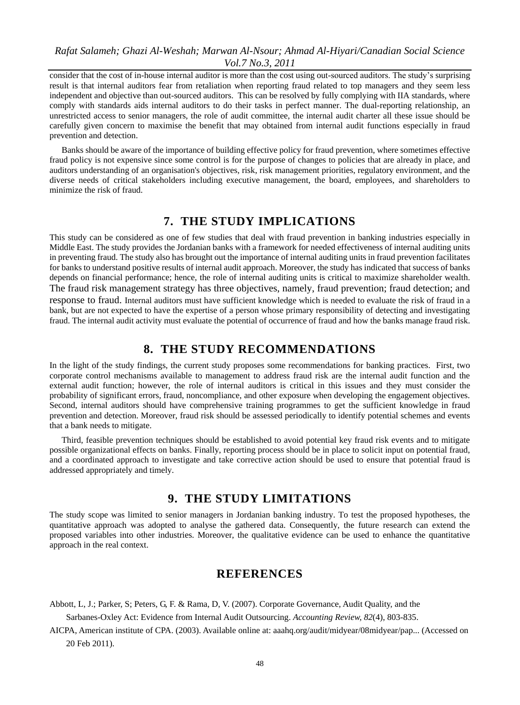consider that the cost of in-house internal auditor is more than the cost using out-sourced auditors. The study's surprising result is that internal auditors fear from retaliation when reporting fraud related to top managers and they seem less independent and objective than out-sourced auditors. This can be resolved by fully complying with IIA standards, where comply with standards aids internal auditors to do their tasks in perfect manner. The dual-reporting relationship, an unrestricted access to senior managers, the role of audit committee, the internal audit charter all these issue should be carefully given concern to maximise the benefit that may obtained from internal audit functions especially in fraud prevention and detection.

Banks should be aware of the importance of building effective policy for fraud prevention, where sometimes effective fraud policy is not expensive since some control is for the purpose of changes to policies that are already in place, and auditors understanding of an organisation's objectives, risk, risk management priorities, regulatory environment, and the diverse needs of critical stakeholders including executive management, the board, employees, and shareholders to minimize the risk of fraud.

### **7. THE STUDY IMPLICATIONS**

This study can be considered as one of few studies that deal with fraud prevention in banking industries especially in Middle East. The study provides the Jordanian banks with a framework for needed effectiveness of internal auditing units in preventing fraud. The study also has brought out the importance of internal auditing units in fraud prevention facilitates for banks to understand positive results of internal audit approach. Moreover, the study has indicated that success of banks depends on financial performance; hence, the role of internal auditing units is critical to maximize shareholder wealth. The fraud risk management strategy has three objectives, namely, fraud prevention; fraud detection; and response to fraud. Internal auditors must have sufficient knowledge which is needed to evaluate the risk of fraud in a bank, but are not expected to have the expertise of a person whose primary responsibility of detecting and investigating fraud. The internal audit activity must evaluate the potential of occurrence of fraud and how the banks manage fraud risk.

## **8. THE STUDY RECOMMENDATIONS**

In the light of the study findings, the current study proposes some recommendations for banking practices. First, two corporate control mechanisms available to management to address fraud risk are the internal audit function and the external audit function; however, the role of internal auditors is critical in this issues and they must consider the probability of significant errors, fraud, noncompliance, and other exposure when developing the engagement objectives. Second, internal auditors should have comprehensive training programmes to get the sufficient knowledge in fraud prevention and detection. Moreover, fraud risk should be assessed periodically to identify potential schemes and events that a bank needs to mitigate.

Third, feasible prevention techniques should be established to avoid potential key fraud risk events and to mitigate possible organizational effects on banks. Finally, reporting process should be in place to solicit input on potential fraud, and a coordinated approach to investigate and take corrective action should be used to ensure that potential fraud is addressed appropriately and timely.

## **9. THE STUDY LIMITATIONS**

The study scope was limited to senior managers in Jordanian banking industry. To test the proposed hypotheses, the quantitative approach was adopted to analyse the gathered data. Consequently, the future research can extend the proposed variables into other industries. Moreover, the qualitative evidence can be used to enhance the quantitative approach in the real context.

### **REFERENCES**

- Abbott, L, J.; Parker, S; Peters, G, F. & Rama, D, V. (2007). Corporate Governance, Audit Quality, and the
	- Sarbanes-Oxley Act: Evidence from Internal Audit Outsourcing. *Accounting Review, 82*(4), 803-835.
- AICPA, American institute of CPA. (2003). Available online at: aaahq.org/audit/midyear/08midyear/pap... (Accessed on 20 Feb 2011).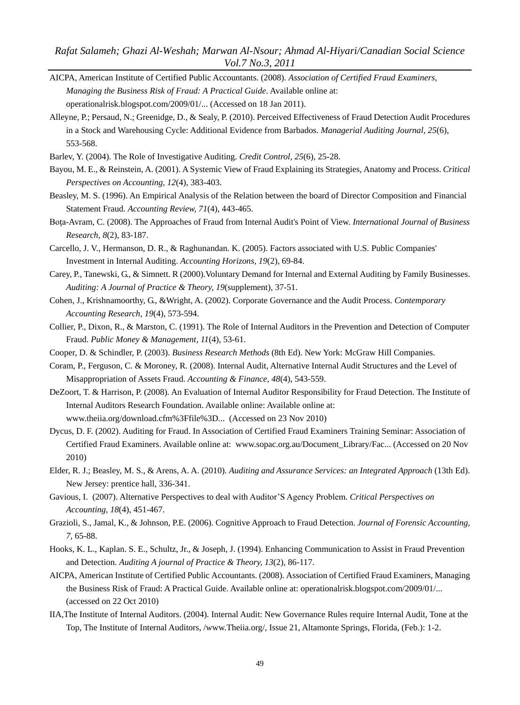*Rafat Salameh; Ghazi Al-Weshah; Marwan Al-Nsour; Ahmad Al-Hiyari/Canadian Social Science Vol.7 No.3, 2011*

- AICPA, American Institute of Certified Public Accountants. (2008). *Association of Certified Fraud Examiners, Managing the Business Risk of Fraud: A Practical Guide*. Available online at: operationalrisk.blogspot.com/2009/01/... (Accessed on 18 Jan 2011).
- Alleyne, P.; Persaud, N.; Greenidge, D., & Sealy, P. (2010). Perceived Effectiveness of Fraud Detection Audit Procedures in a Stock and Warehousing Cycle: Additional Evidence from Barbados. *Managerial Auditing Journal, 25*(6), 553-568.
- Barlev, Y. (2004). The Role of Investigative Auditing. *[Credit Control,](javascript:__doLinkPostBack() 25*(6), 25-28.
- Bayou, M. E., & Reinstein, A. (2001). A Systemic View of Fraud Explaining its Strategies, Anatomy and Process. *Critical Perspectives on Accounting, 12*(4), 383-403.
- Beasley, M. S. (1996). An Empirical Analysis of the Relation between the board of Director Composition and Financial Statement Fraud. *[Accounting Review,](javascript:__doLinkPostBack() 71*(4), 443-465.
- Boţa-Avram, C. (2008). The Approaches of Fraud from Internal Audit's Point of View. *[International Journal of Business](javascript:__doLinkPostBack()  [Research,](javascript:__doLinkPostBack() 8*(2), 83-187.
- Carcello, J. V., Hermanson, D. R., & Raghunandan. K. (2005). Factors associated with U.S. Public Companies' Investment in Internal Auditing. *Accounting Horizons, 19*(2), 69-84.
- Carey, P., Tanewski, G., & Simnett. R (2000).Voluntary Demand for Internal and External Auditing by Family Businesses. *Auditing: A Journal of Practice & Theory, 19*(supplement), 37-51.
- Cohen, J., Krishnamoorthy, G., &Wright, A. (2002). Corporate Governance and the Audit Process. *Contemporary Accounting Research, 19*(4), 573-594.
- Collier, P., Dixon, R., & Marston, C. (1991). The Role of Internal Auditors in the Prevention [and Detection](http://web.ebscohost.com.ezlibrary.ju.edu.jo/bsi/viewarticle?data=dGJyMPPp44rp2%2fdV0%2bnjisfk5Ie46bBQtq2wUbWk63nn5Kx68d%2b%2bSa%2blr0qtqK5JrpaxUq%2bsuEyulr9lpOrweezp33vy3%2b2G59q7SbSvtFCyrrc%2b6tfsf7vb7D7i2Lt68t6kjN%2fdu1nMnN%2bGu6u1Sa%2bpsUmk3O2K69fyVeTr6oTy2%2faM&hid=9) of Computer [Fraud.](http://web.ebscohost.com.ezlibrary.ju.edu.jo/bsi/viewarticle?data=dGJyMPPp44rp2%2fdV0%2bnjisfk5Ie46bBQtq2wUbWk63nn5Kx68d%2b%2bSa%2blr0qtqK5JrpaxUq%2bsuEyulr9lpOrweezp33vy3%2b2G59q7SbSvtFCyrrc%2b6tfsf7vb7D7i2Lt68t6kjN%2fdu1nMnN%2bGu6u1Sa%2bpsUmk3O2K69fyVeTr6oTy2%2faM&hid=9) *[Public Money & Management,](javascript:__doLinkPostBack() 11*(4), 53-61.
- Cooper, D. & Schindler, P. (2003). *Business Research Methods* (8th Ed). New York: McGraw Hill Companies.
- Coram, P., Ferguson, C. & Moroney, R. (2008). Internal Audit, Alternative Internal Audit Structures and the Level of Misappropriation of Assets Fraud. *Accounting & Finance, 48*(4), 543-559.
- DeZoort, T. & Harrison, P. (2008). An Evaluation of Internal Auditor Responsibility for Fraud Detection. The Institute of Internal Auditors Research Foundation. Available online: Available online at: www.theiia.org/download.cfm%3Ffile%3D... (Accessed on 23 Nov 2010)
- Dycus, D. F. (2002). Auditing for Fraud. In Association of Certified Fraud Examiners Training Seminar: Association of Certified Fraud Examiners. Available online at: [www.sopac.org.au/Document\\_Library/Fac.](http://www.sopac.org.au/Document_Library/Fac).. (Accessed on 20 Nov 2010)
- Elder, R. J.; Beasley, M. S., & Arens, A. A. (2010). *Auditing and Assurance Services: an Integrated Approach* (13th Ed). New Jersey: prentice hall, 336-341.
- Gavious, I. (2007). Alternative Perspectives to deal with Auditor'S Agency Problem. *Critical Perspectives on Accounting, 18*(4), 451-467.
- Grazioli, S., Jamal, K., & Johnson, P.E. (2006). Cognitive Approach to Fraud Detection. *Journal of Forensic Accounting, 7*, 65-88.
- Hooks, K. L., Kaplan. S. E., Schultz, Jr., & Joseph, J. (1994). Enhancing Communication to Assist in Fraud Prevention and Detection. *Auditing A journal of Practice & Theory, 13*(2), 86-117.
- AICPA, American Institute of Certified Public Accountants. (2008). Association of Certified Fraud Examiners, Managing the Business Risk of Fraud: A Practical Guide. Available online at: operationalrisk.blogspot.com/2009/01/... (accessed on 22 Oct 2010)
- IIA,The Institute of Internal Auditors. (2004). Internal Audit: New Governance Rules require Internal Audit, Tone at the Top, The Institute of Internal Auditors, /www.Theiia.org/, Issue 21, Altamonte Springs, Florida, (Feb.): 1-2.